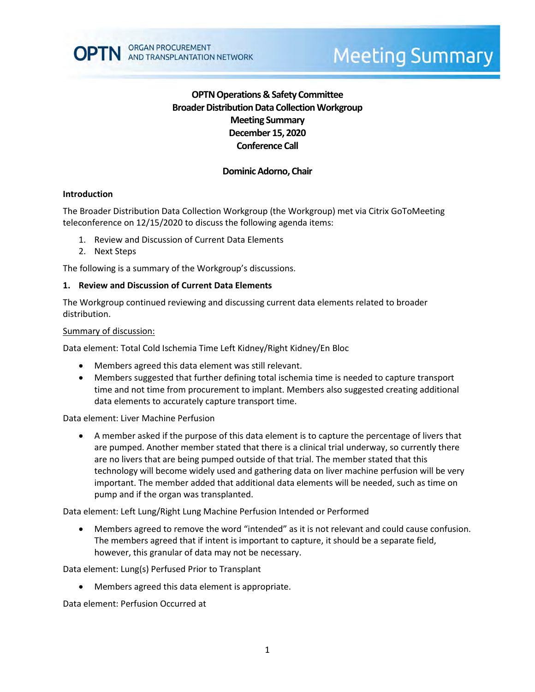# **OPTN Operations & Safety Committee Broader Distribution Data Collection Workgroup Meeting Summary December 15, 2020 Conference Call**

# **Dominic Adorno, Chair**

### **Introduction**

The Broader Distribution Data Collection Workgroup (the Workgroup) met via Citrix GoToMeeting teleconference on 12/15/2020 to discuss the following agenda items:

- 1. Review and Discussion of Current Data Elements
- 2. Next Steps

The following is a summary of the Workgroup's discussions.

### **1. Review and Discussion of Current Data Elements**

The Workgroup continued reviewing and discussing current data elements related to broader distribution.

#### Summary of discussion:

Data element: Total Cold Ischemia Time Left Kidney/Right Kidney/En Bloc

- Members agreed this data element was still relevant.
- Members suggested that further defining total ischemia time is needed to capture transport time and not time from procurement to implant. Members also suggested creating additional data elements to accurately capture transport time.

Data element: Liver Machine Perfusion

 A member asked if the purpose of this data element is to capture the percentage of livers that are pumped. Another member stated that there is a clinical trial underway, so currently there are no livers that are being pumped outside of that trial. The member stated that this technology will become widely used and gathering data on liver machine perfusion will be very important. The member added that additional data elements will be needed, such as time on pump and if the organ was transplanted.

Data element: Left Lung/Right Lung Machine Perfusion Intended or Performed

 Members agreed to remove the word "intended" as it is not relevant and could cause confusion. The members agreed that if intent is important to capture, it should be a separate field, however, this granular of data may not be necessary.

Data element: Lung(s) Perfused Prior to Transplant

Members agreed this data element is appropriate.

Data element: Perfusion Occurred at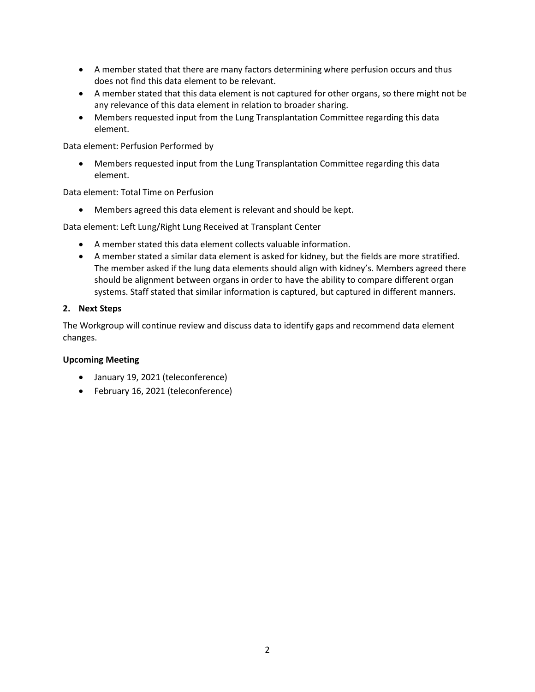- A member stated that there are many factors determining where perfusion occurs and thus does not find this data element to be relevant.
- A member stated that this data element is not captured for other organs, so there might not be any relevance of this data element in relation to broader sharing.
- Members requested input from the Lung Transplantation Committee regarding this data element.

Data element: Perfusion Performed by

 Members requested input from the Lung Transplantation Committee regarding this data element.

Data element: Total Time on Perfusion

Members agreed this data element is relevant and should be kept.

Data element: Left Lung/Right Lung Received at Transplant Center

- A member stated this data element collects valuable information.
- A member stated a similar data element is asked for kidney, but the fields are more stratified. The member asked if the lung data elements should align with kidney's. Members agreed there should be alignment between organs in order to have the ability to compare different organ systems. Staff stated that similar information is captured, but captured in different manners.

## **2. Next Steps**

The Workgroup will continue review and discuss data to identify gaps and recommend data element changes.

### **Upcoming Meeting**

- January 19, 2021 (teleconference)
- February 16, 2021 (teleconference)